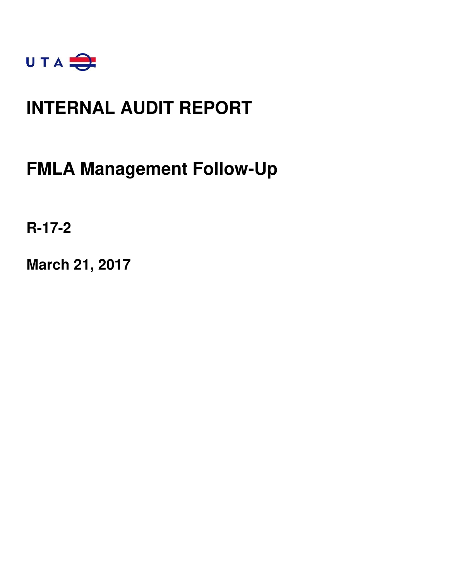

### **INTERNAL AUDIT REPORT**

### **FMLA Management Follow-Up**

**R-17-2** 

**March 21, 2017**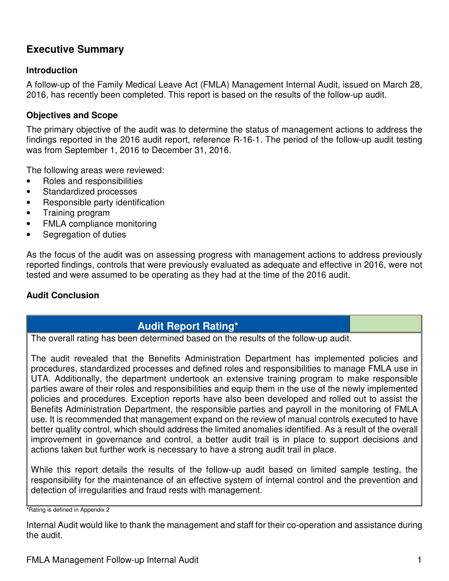### **Executive Summary**

#### **Introduction**

A follow-up of the Family Medical Leave Act (FMLA) Management Internal Audit, issued on March 28, 2016, has recently been completed. This report is based on the results of the follow-up audit.

### **Objectives and Scope**

The primary objective of the audit was to determine the status of management actions to address the findings reported in the 2016 audit report, reference R-16-1. The period of the follow-up audit testing was from September 1, 2016 to December 31, 2016.

The following areas were reviewed:

- Roles and responsibilities
- Standardized processes
- Responsible party identification
- Training program
- FMLA compliance monitoring
- Segregation of duties

As the focus of the audit was on assessing progress with management actions to address previously reported findings, controls that were previously evaluated as adequate and effective in 2016, were not tested and were assumed to be operating as they had at the time of the 2016 audit.

#### **Audit Conclusion**

### **Audit Report Rating\***

The overall rating has been determined based on the results of the follow-up audit.

The audit revealed that the Benefits Administration Department has implemented policies and procedures, standardized processes and defined roles and responsibilities to manage FMLA use in UTA. Additionally, the department undertook an extensive training program to make responsible parties aware of their roles and responsibilities and equip them in the use of the newly implemented policies and procedures. Exception reports have also been developed and rolled out to assist the Benefits Administration Department, the responsible parties and payroll in the monitoring of FMLA use. It is recommended that management expand on the review of manual controls executed to have better quality control, which should address the limited anomalies identified. As a result of the overall improvement in governance and control, a better audit trail is in place to support decisions and actions taken but further work is necessary to have a strong audit trail in place.

While this report details the results of the follow-up audit based on limited sample testing, the responsibility for the maintenance of an effective system of internal control and the prevention and detection of irregularities and fraud rests with management.

\*Rating is defined in Appendix 2

Internal Audit would like to thank the management and staff for their co-operation and assistance during the audit.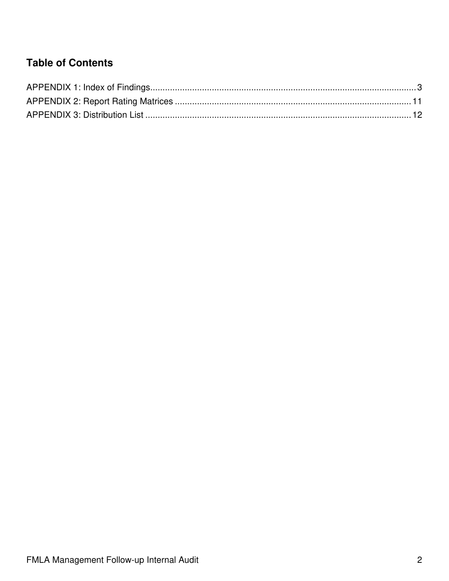### **Table of Contents**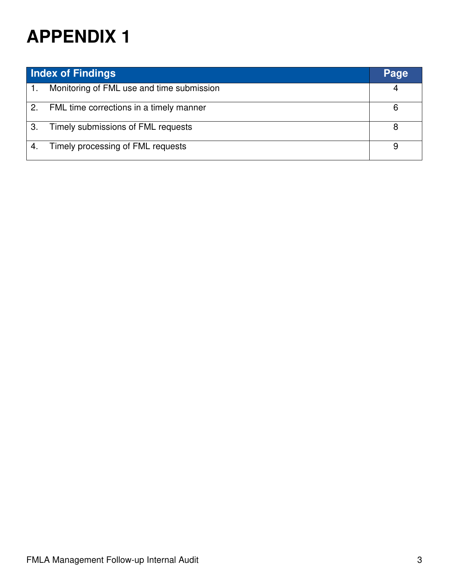|    | <b>Index of Findings</b>                  | Page |
|----|-------------------------------------------|------|
| 1. | Monitoring of FML use and time submission | 4    |
| 2. | FML time corrections in a timely manner   | 6    |
| 3. | Timely submissions of FML requests        |      |
|    | Timely processing of FML requests         |      |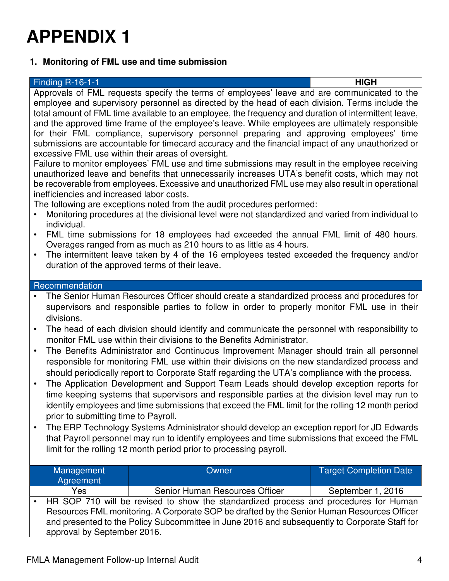### **1. Monitoring of FML use and time submission**

| <b>Finding R-16-1-1</b>                                                                              | <b>HIGH</b> |
|------------------------------------------------------------------------------------------------------|-------------|
| Approvals of FML requests specify the terms of employees' leave and are communicated to the          |             |
| employee and supervisory personnel as directed by the head of each division. Terms include the       |             |
| total amount of FML time available to an employee, the frequency and duration of intermittent leave, |             |
| and the approved time frame of the employee's leave. While employees are ultimately responsible      |             |
| for their FML compliance, supervisory personnel preparing and approving employees' time              |             |
| submissions are accountable for timecard accuracy and the financial impact of any unauthorized or    |             |
| excessive FML use within their areas of oversight.                                                   |             |
| Failure to monitor employees' FML use and time submissions may result in the employee receiving      |             |

unauthorized leave and benefits that unnecessarily increases UTA's benefit costs, which may not be recoverable from employees. Excessive and unauthorized FML use may also result in operational inefficiencies and increased labor costs.

The following are exceptions noted from the audit procedures performed:

- Monitoring procedures at the divisional level were not standardized and varied from individual to individual.
- FML time submissions for 18 employees had exceeded the annual FML limit of 480 hours. Overages ranged from as much as 210 hours to as little as 4 hours.
- The intermittent leave taken by 4 of the 16 employees tested exceeded the frequency and/or duration of the approved terms of their leave.

#### Recommendation

- The Senior Human Resources Officer should create a standardized process and procedures for supervisors and responsible parties to follow in order to properly monitor FML use in their divisions.
- The head of each division should identify and communicate the personnel with responsibility to monitor FML use within their divisions to the Benefits Administrator.
- The Benefits Administrator and Continuous Improvement Manager should train all personnel responsible for monitoring FML use within their divisions on the new standardized process and should periodically report to Corporate Staff regarding the UTA's compliance with the process.
- The Application Development and Support Team Leads should develop exception reports for time keeping systems that supervisors and responsible parties at the division level may run to identify employees and time submissions that exceed the FML limit for the rolling 12 month period prior to submitting time to Payroll.
- The ERP Technology Systems Administrator should develop an exception report for JD Edwards that Payroll personnel may run to identify employees and time submissions that exceed the FML limit for the rolling 12 month period prior to processing payroll.

| Management<br>Agreement                                                              | Owner                                                                                                                                                                                       | <b>Target Completion Date</b> |
|--------------------------------------------------------------------------------------|---------------------------------------------------------------------------------------------------------------------------------------------------------------------------------------------|-------------------------------|
| Yes                                                                                  | Senior Human Resources Officer                                                                                                                                                              | September 1, 2016             |
| HR SOP 710 will be revised to show the standardized process and procedures for Human |                                                                                                                                                                                             |                               |
| approval by September 2016.                                                          | Resources FML monitoring. A Corporate SOP be drafted by the Senior Human Resources Officer<br>and presented to the Policy Subcommittee in June 2016 and subsequently to Corporate Staff for |                               |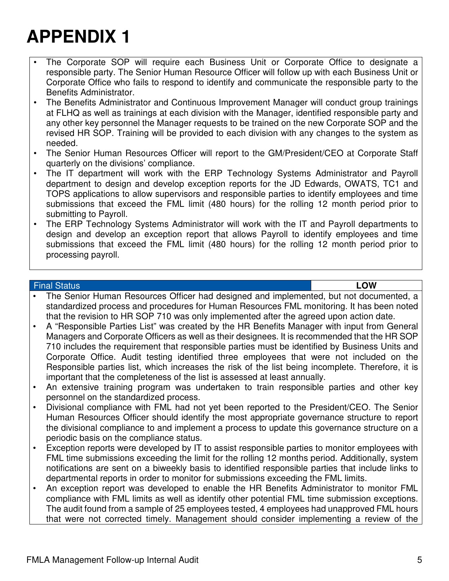- The Corporate SOP will require each Business Unit or Corporate Office to designate a responsible party. The Senior Human Resource Officer will follow up with each Business Unit or Corporate Office who fails to respond to identify and communicate the responsible party to the Benefits Administrator.
- The Benefits Administrator and Continuous Improvement Manager will conduct group trainings at FLHQ as well as trainings at each division with the Manager, identified responsible party and any other key personnel the Manager requests to be trained on the new Corporate SOP and the revised HR SOP. Training will be provided to each division with any changes to the system as needed.
- The Senior Human Resources Officer will report to the GM/President/CEO at Corporate Staff quarterly on the divisions' compliance.
- The IT department will work with the ERP Technology Systems Administrator and Payroll department to design and develop exception reports for the JD Edwards, OWATS, TC1 and TOPS applications to allow supervisors and responsible parties to identify employees and time submissions that exceed the FML limit (480 hours) for the rolling 12 month period prior to submitting to Payroll.
- The ERP Technology Systems Administrator will work with the IT and Payroll departments to design and develop an exception report that allows Payroll to identify employees and time submissions that exceed the FML limit (480 hours) for the rolling 12 month period prior to processing payroll.

#### Final Status **LOW**

- The Senior Human Resources Officer had designed and implemented, but not documented, a standardized process and procedures for Human Resources FML monitoring. It has been noted that the revision to HR SOP 710 was only implemented after the agreed upon action date.
- A "Responsible Parties List" was created by the HR Benefits Manager with input from General Managers and Corporate Officers as well as their designees. It is recommended that the HR SOP 710 includes the requirement that responsible parties must be identified by Business Units and Corporate Office. Audit testing identified three employees that were not included on the Responsible parties list, which increases the risk of the list being incomplete. Therefore, it is important that the completeness of the list is assessed at least annually.
- An extensive training program was undertaken to train responsible parties and other key personnel on the standardized process.
- Divisional compliance with FML had not yet been reported to the President/CEO. The Senior Human Resources Officer should identify the most appropriate governance structure to report the divisional compliance to and implement a process to update this governance structure on a periodic basis on the compliance status.
- Exception reports were developed by IT to assist responsible parties to monitor employees with FML time submissions exceeding the limit for the rolling 12 months period. Additionally, system notifications are sent on a biweekly basis to identified responsible parties that include links to departmental reports in order to monitor for submissions exceeding the FML limits.
- An exception report was developed to enable the HR Benefits Administrator to monitor FML compliance with FML limits as well as identify other potential FML time submission exceptions. The audit found from a sample of 25 employees tested, 4 employees had unapproved FML hours that were not corrected timely. Management should consider implementing a review of the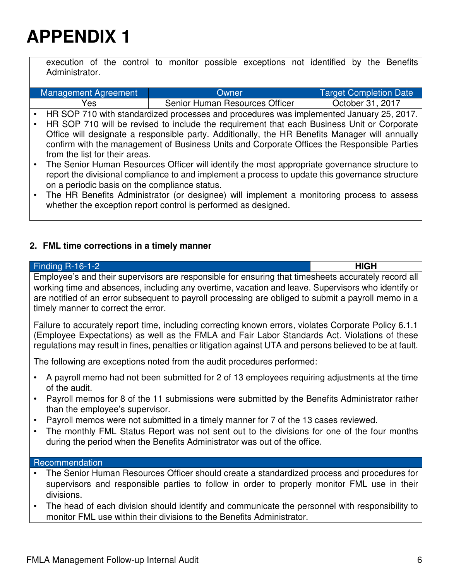execution of the control to monitor possible exceptions not identified by the Benefits Administrator.

|           | Management Agreement                                                                           | Owner                                                                                           | <b>Target Completion Date</b> |
|-----------|------------------------------------------------------------------------------------------------|-------------------------------------------------------------------------------------------------|-------------------------------|
|           | Yes                                                                                            | Senior Human Resources Officer                                                                  | October 31, 2017              |
|           |                                                                                                | • HR SOP 710 with standardized processes and procedures was implemented January 25, 2017.       |                               |
|           | HR SOP 710 will be revised to include the requirement that each Business Unit or Corporate     |                                                                                                 |                               |
|           | Office will designate a responsible party. Additionally, the HR Benefits Manager will annually |                                                                                                 |                               |
|           |                                                                                                | confirm with the management of Business Units and Corporate Offices the Responsible Parties     |                               |
|           | from the list for their areas.                                                                 |                                                                                                 |                               |
| $\bullet$ |                                                                                                | The Senior Human Resources Officer will identify the most appropriate governance structure to   |                               |
|           |                                                                                                | report the divisional compliance to and implement a process to update this governance structure |                               |
|           | on a periodic basis on the compliance status.                                                  |                                                                                                 |                               |

• The HR Benefits Administrator (or designee) will implement a monitoring process to assess whether the exception report control is performed as designed.

#### **2. FML time corrections in a timely manner**

| <b>Finding R-16-1-2</b>                                                                                                                                                                                                                                                                                                                                 | <b>HIGH</b> |  |
|---------------------------------------------------------------------------------------------------------------------------------------------------------------------------------------------------------------------------------------------------------------------------------------------------------------------------------------------------------|-------------|--|
| Employee's and their supervisors are responsible for ensuring that timesheets accurately record all<br>working time and absences, including any overtime, vacation and leave. Supervisors who identify or<br>are notified of an error subsequent to payroll processing are obliged to submit a payroll memo in a<br>timely manner to correct the error. |             |  |
| Failure to accurately report time, including correcting known errors, violates Corporate Policy 6.1.1<br>(Employee Expectations) as well as the FMLA and Fair Labor Standards Act. Violations of these<br>regulations may result in fines, penalties or litigation against UTA and persons believed to be at fault.                                     |             |  |
| The following are exceptions noted from the audit procedures performed:                                                                                                                                                                                                                                                                                 |             |  |
| A payroll memo had not been submitted for 2 of 13 employees requiring adjustments at the time<br>of the audit.                                                                                                                                                                                                                                          |             |  |
| Payroll memos for 8 of the 11 submissions were submitted by the Benefits Administrator rather<br>than the employee's supervisor.                                                                                                                                                                                                                        |             |  |
| Payroll memos were not submitted in a timely manner for 7 of the 13 cases reviewed.<br>The monthly FML Status Report was not sent out to the divisions for one of the four months<br>during the period when the Benefits Administrator was out of the office.                                                                                           |             |  |

#### Recommendation

- The Senior Human Resources Officer should create a standardized process and procedures for supervisors and responsible parties to follow in order to properly monitor FML use in their divisions.
- The head of each division should identify and communicate the personnel with responsibility to monitor FML use within their divisions to the Benefits Administrator.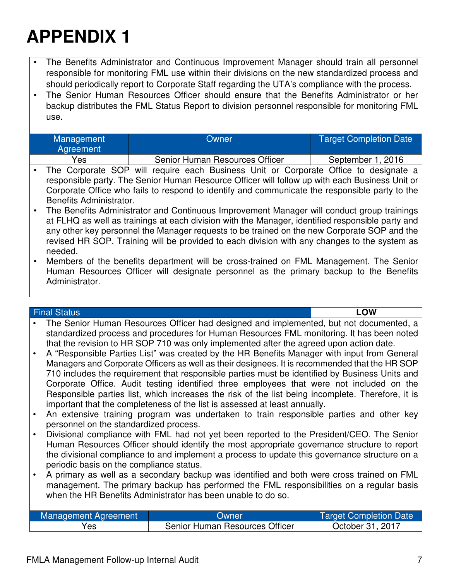- The Benefits Administrator and Continuous Improvement Manager should train all personnel responsible for monitoring FML use within their divisions on the new standardized process and should periodically report to Corporate Staff regarding the UTA's compliance with the process.
- The Senior Human Resources Officer should ensure that the Benefits Administrator or her backup distributes the FML Status Report to division personnel responsible for monitoring FML use.

| <b>Management</b><br>Agreement | Owner                          | <b>Target Completion Date</b> |
|--------------------------------|--------------------------------|-------------------------------|
| Yes                            | Senior Human Resources Officer | September 1, 2016             |

- The Corporate SOP will require each Business Unit or Corporate Office to designate a responsible party. The Senior Human Resource Officer will follow up with each Business Unit or Corporate Office who fails to respond to identify and communicate the responsible party to the Benefits Administrator.
- The Benefits Administrator and Continuous Improvement Manager will conduct group trainings at FLHQ as well as trainings at each division with the Manager, identified responsible party and any other key personnel the Manager requests to be trained on the new Corporate SOP and the revised HR SOP. Training will be provided to each division with any changes to the system as needed.
- Members of the benefits department will be cross-trained on FML Management. The Senior Human Resources Officer will designate personnel as the primary backup to the Benefits Administrator.

#### Final Status **LOW**

- The Senior Human Resources Officer had designed and implemented, but not documented, a standardized process and procedures for Human Resources FML monitoring. It has been noted that the revision to HR SOP 710 was only implemented after the agreed upon action date.
- A "Responsible Parties List" was created by the HR Benefits Manager with input from General Managers and Corporate Officers as well as their designees. It is recommended that the HR SOP 710 includes the requirement that responsible parties must be identified by Business Units and Corporate Office. Audit testing identified three employees that were not included on the Responsible parties list, which increases the risk of the list being incomplete. Therefore, it is important that the completeness of the list is assessed at least annually.
- An extensive training program was undertaken to train responsible parties and other key personnel on the standardized process.
- Divisional compliance with FML had not yet been reported to the President/CEO. The Senior Human Resources Officer should identify the most appropriate governance structure to report the divisional compliance to and implement a process to update this governance structure on a periodic basis on the compliance status.
- A primary as well as a secondary backup was identified and both were cross trained on FML management. The primary backup has performed the FML responsibilities on a regular basis when the HR Benefits Administrator has been unable to do so.

| Management Agreement | Owner                          | Target Completion Date |
|----------------------|--------------------------------|------------------------|
| Yes                  | Senior Human Resources Officer | October 31, 2017       |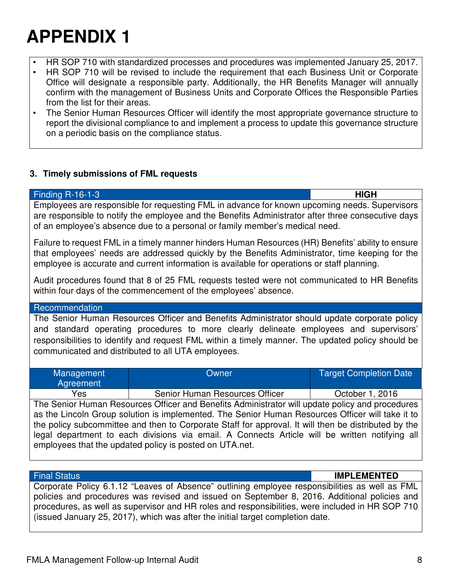- HR SOP 710 with standardized processes and procedures was implemented January 25, 2017.
- HR SOP 710 will be revised to include the requirement that each Business Unit or Corporate Office will designate a responsible party. Additionally, the HR Benefits Manager will annually confirm with the management of Business Units and Corporate Offices the Responsible Parties from the list for their areas.
- The Senior Human Resources Officer will identify the most appropriate governance structure to report the divisional compliance to and implement a process to update this governance structure on a periodic basis on the compliance status.

#### **3. Timely submissions of FML requests**

| <b>Finding R-16-1-3</b>                                                                                                                                                                                                                                                                                                                                                                                                                                                  |       | <b>HIGH</b>                   |  |
|--------------------------------------------------------------------------------------------------------------------------------------------------------------------------------------------------------------------------------------------------------------------------------------------------------------------------------------------------------------------------------------------------------------------------------------------------------------------------|-------|-------------------------------|--|
| Employees are responsible for requesting FML in advance for known upcoming needs. Supervisors<br>are responsible to notify the employee and the Benefits Administrator after three consecutive days<br>of an employee's absence due to a personal or family member's medical need.                                                                                                                                                                                       |       |                               |  |
| Failure to request FML in a timely manner hinders Human Resources (HR) Benefits' ability to ensure<br>that employees' needs are addressed quickly by the Benefits Administrator, time keeping for the<br>employee is accurate and current information is available for operations or staff planning.                                                                                                                                                                     |       |                               |  |
| Audit procedures found that 8 of 25 FML requests tested were not communicated to HR Benefits<br>within four days of the commencement of the employees' absence.                                                                                                                                                                                                                                                                                                          |       |                               |  |
| Recommendation                                                                                                                                                                                                                                                                                                                                                                                                                                                           |       |                               |  |
| The Senior Human Resources Officer and Benefits Administrator should update corporate policy<br>and standard operating procedures to more clearly delineate employees and supervisors'<br>responsibilities to identify and request FML within a timely manner. The updated policy should be<br>communicated and distributed to all UTA employees.                                                                                                                        |       |                               |  |
| Management                                                                                                                                                                                                                                                                                                                                                                                                                                                               | Owner | <b>Target Completion Date</b> |  |
| Agreement                                                                                                                                                                                                                                                                                                                                                                                                                                                                |       |                               |  |
| Yes<br>Senior Human Resources Officer<br>October 1, 2016                                                                                                                                                                                                                                                                                                                                                                                                                 |       |                               |  |
| The Senior Human Resources Officer and Benefits Administrator will update policy and procedures<br>as the Lincoln Group solution is implemented. The Senior Human Resources Officer will take it to<br>the policy subcommittee and then to Corporate Staff for approval. It will then be distributed by the<br>legal department to each divisions via email. A Connects Article will be written notifying all<br>employees that the updated policy is posted on UTA.net. |       |                               |  |

Final Status **IMPLEMENTED**

Corporate Policy 6.1.12 "Leaves of Absence" outlining employee responsibilities as well as FML policies and procedures was revised and issued on September 8, 2016. Additional policies and procedures, as well as supervisor and HR roles and responsibilities, were included in HR SOP 710 (issued January 25, 2017), which was after the initial target completion date.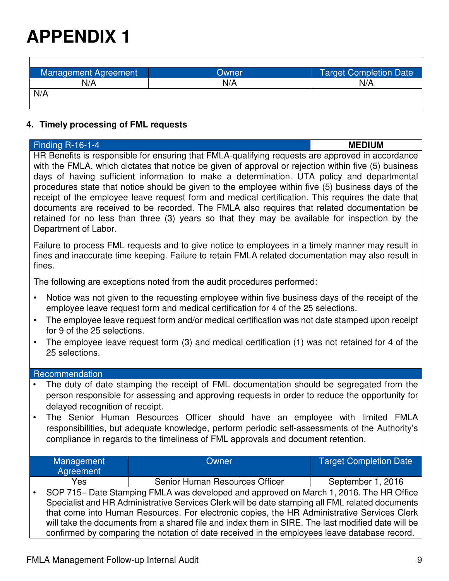$\Gamma$ 

| Management Agreement | Owner | Target Completion Date |
|----------------------|-------|------------------------|
| N/A                  | N/A   | N/A                    |
| N/A                  |       |                        |

#### **4. Timely processing of FML requests**

| <b>Finding R-16-1-4</b>                                                                                                                                                                                                                                                                                                                                                                                                                                                                                                                                                                                                                                                                                                                  |                                                                                                                                                                                                                                                                                                                                                                                               | <b>MEDIUM</b>                 |
|------------------------------------------------------------------------------------------------------------------------------------------------------------------------------------------------------------------------------------------------------------------------------------------------------------------------------------------------------------------------------------------------------------------------------------------------------------------------------------------------------------------------------------------------------------------------------------------------------------------------------------------------------------------------------------------------------------------------------------------|-----------------------------------------------------------------------------------------------------------------------------------------------------------------------------------------------------------------------------------------------------------------------------------------------------------------------------------------------------------------------------------------------|-------------------------------|
| HR Benefits is responsible for ensuring that FMLA-qualifying requests are approved in accordance<br>with the FMLA, which dictates that notice be given of approval or rejection within five (5) business<br>days of having sufficient information to make a determination. UTA policy and departmental<br>procedures state that notice should be given to the employee within five (5) business days of the<br>receipt of the employee leave request form and medical certification. This requires the date that<br>documents are received to be recorded. The FMLA also requires that related documentation be<br>retained for no less than three (3) years so that they may be available for inspection by the<br>Department of Labor. |                                                                                                                                                                                                                                                                                                                                                                                               |                               |
| fines.                                                                                                                                                                                                                                                                                                                                                                                                                                                                                                                                                                                                                                                                                                                                   | Failure to process FML requests and to give notice to employees in a timely manner may result in<br>fines and inaccurate time keeping. Failure to retain FMLA related documentation may also result in                                                                                                                                                                                        |                               |
|                                                                                                                                                                                                                                                                                                                                                                                                                                                                                                                                                                                                                                                                                                                                          | The following are exceptions noted from the audit procedures performed:                                                                                                                                                                                                                                                                                                                       |                               |
| Notice was not given to the requesting employee within five business days of the receipt of the<br>$\bullet$<br>employee leave request form and medical certification for 4 of the 25 selections.<br>The employee leave request form and/or medical certification was not date stamped upon receipt<br>$\bullet$<br>for 9 of the 25 selections.<br>The employee leave request form (3) and medical certification (1) was not retained for 4 of the<br>$\bullet$<br>25 selections.                                                                                                                                                                                                                                                        |                                                                                                                                                                                                                                                                                                                                                                                               |                               |
| Recommendation                                                                                                                                                                                                                                                                                                                                                                                                                                                                                                                                                                                                                                                                                                                           |                                                                                                                                                                                                                                                                                                                                                                                               |                               |
| The duty of date stamping the receipt of FML documentation should be segregated from the<br>person responsible for assessing and approving requests in order to reduce the opportunity for<br>delayed recognition of receipt.<br>The Senior Human Resources Officer should have an employee with limited FMLA<br>$\bullet$<br>responsibilities, but adequate knowledge, perform periodic self-assessments of the Authority's<br>compliance in regards to the timeliness of FML approvals and document retention.                                                                                                                                                                                                                         |                                                                                                                                                                                                                                                                                                                                                                                               |                               |
| Management                                                                                                                                                                                                                                                                                                                                                                                                                                                                                                                                                                                                                                                                                                                               | Owner                                                                                                                                                                                                                                                                                                                                                                                         | <b>Target Completion Date</b> |
| Agreement<br>Yes                                                                                                                                                                                                                                                                                                                                                                                                                                                                                                                                                                                                                                                                                                                         | Senior Human Resources Officer                                                                                                                                                                                                                                                                                                                                                                | September 1, 2016             |
|                                                                                                                                                                                                                                                                                                                                                                                                                                                                                                                                                                                                                                                                                                                                          | SOP 715- Date Stamping FMLA was developed and approved on March 1, 2016. The HR Office<br>Specialist and HR Administrative Services Clerk will be date stamping all FML related documents<br>that come into Human Resources. For electronic copies, the HR Administrative Services Clerk<br>will take the documents from a shared file and index them in SIRE. The last modified date will be |                               |

confirmed by comparing the notation of date received in the employees leave database record.

٦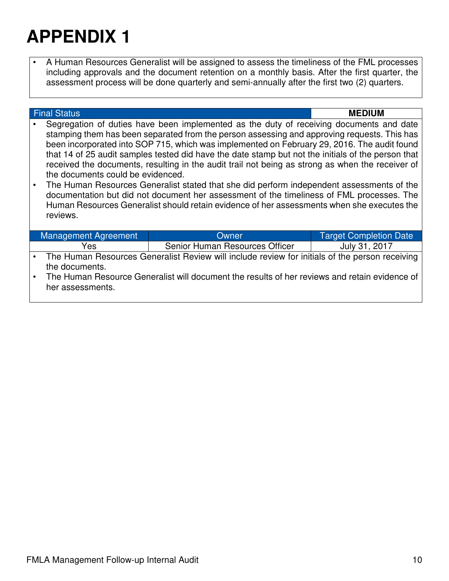• A Human Resources Generalist will be assigned to assess the timeliness of the FML processes including approvals and the document retention on a monthly basis. After the first quarter, the assessment process will be done quarterly and semi-annually after the first two (2) quarters.

|  | <b>Final Status</b>                                                                                               |                                                                                                                                                                                                                                                                                                                                                                                                                                                                                                                                                                                                                                                                                                                                                                                         | <b>MEDIUM</b>                 |
|--|-------------------------------------------------------------------------------------------------------------------|-----------------------------------------------------------------------------------------------------------------------------------------------------------------------------------------------------------------------------------------------------------------------------------------------------------------------------------------------------------------------------------------------------------------------------------------------------------------------------------------------------------------------------------------------------------------------------------------------------------------------------------------------------------------------------------------------------------------------------------------------------------------------------------------|-------------------------------|
|  | the documents could be evidenced.<br>reviews.                                                                     | Segregation of duties have been implemented as the duty of receiving documents and date<br>stamping them has been separated from the person assessing and approving requests. This has<br>been incorporated into SOP 715, which was implemented on February 29, 2016. The audit found<br>that 14 of 25 audit samples tested did have the date stamp but not the initials of the person that<br>received the documents, resulting in the audit trail not being as strong as when the receiver of<br>The Human Resources Generalist stated that she did perform independent assessments of the<br>documentation but did not document her assessment of the timeliness of FML processes. The<br>Human Resources Generalist should retain evidence of her assessments when she executes the |                               |
|  | Management Agreement                                                                                              | Owner                                                                                                                                                                                                                                                                                                                                                                                                                                                                                                                                                                                                                                                                                                                                                                                   | <b>Target Completion Date</b> |
|  | Yes                                                                                                               | Senior Human Resources Officer                                                                                                                                                                                                                                                                                                                                                                                                                                                                                                                                                                                                                                                                                                                                                          | July 31, 2017                 |
|  | The Human Resources Generalist Review will include review for initials of the person receiving<br>the documents.  |                                                                                                                                                                                                                                                                                                                                                                                                                                                                                                                                                                                                                                                                                                                                                                                         |                               |
|  | The Human Resource Generalist will document the results of her reviews and retain evidence of<br>her assessments. |                                                                                                                                                                                                                                                                                                                                                                                                                                                                                                                                                                                                                                                                                                                                                                                         |                               |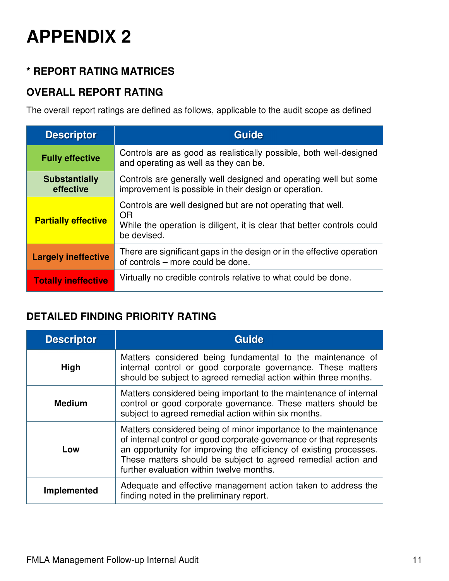### **\* REPORT RATING MATRICES**

### **OVERALL REPORT RATING**

The overall report ratings are defined as follows, applicable to the audit scope as defined

| <b>Descriptor</b>                 | <b>Guide</b>                                                                                                                                                |
|-----------------------------------|-------------------------------------------------------------------------------------------------------------------------------------------------------------|
| <b>Fully effective</b>            | Controls are as good as realistically possible, both well-designed<br>and operating as well as they can be.                                                 |
| <b>Substantially</b><br>effective | Controls are generally well designed and operating well but some<br>improvement is possible in their design or operation.                                   |
| <b>Partially effective</b>        | Controls are well designed but are not operating that well.<br>OR<br>While the operation is diligent, it is clear that better controls could<br>be devised. |
| <b>Largely ineffective</b>        | There are significant gaps in the design or in the effective operation<br>of controls – more could be done.                                                 |
| <b>Totally ineffective</b>        | Virtually no credible controls relative to what could be done.                                                                                              |

### **DETAILED FINDING PRIORITY RATING**

| <b>Descriptor</b>  | <b>Guide</b>                                                                                                                                                                                                                                                                                                              |
|--------------------|---------------------------------------------------------------------------------------------------------------------------------------------------------------------------------------------------------------------------------------------------------------------------------------------------------------------------|
| High               | Matters considered being fundamental to the maintenance of<br>internal control or good corporate governance. These matters<br>should be subject to agreed remedial action within three months.                                                                                                                            |
| <b>Medium</b>      | Matters considered being important to the maintenance of internal<br>control or good corporate governance. These matters should be<br>subject to agreed remedial action within six months.                                                                                                                                |
| Low                | Matters considered being of minor importance to the maintenance<br>of internal control or good corporate governance or that represents<br>an opportunity for improving the efficiency of existing processes.<br>These matters should be subject to agreed remedial action and<br>further evaluation within twelve months. |
| <b>Implemented</b> | Adequate and effective management action taken to address the<br>finding noted in the preliminary report.                                                                                                                                                                                                                 |